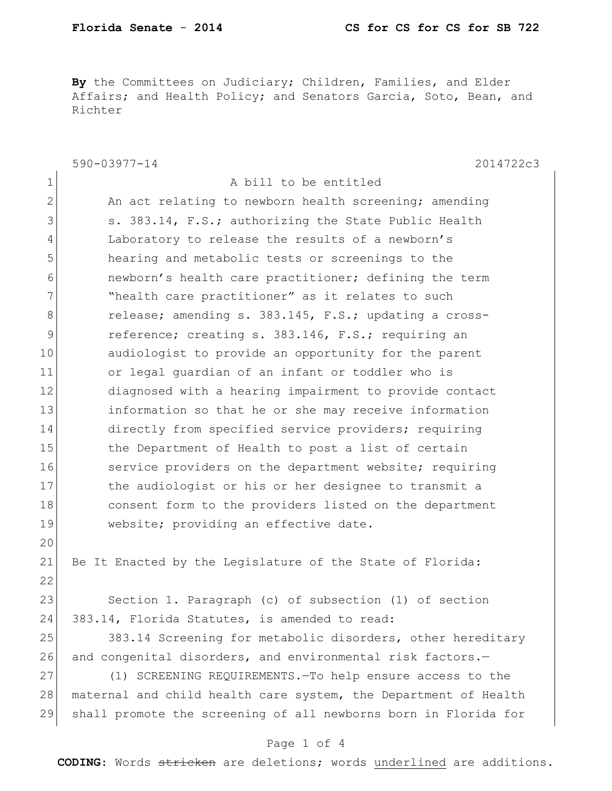**By** the Committees on Judiciary; Children, Families, and Elder Affairs; and Health Policy; and Senators Garcia, Soto, Bean, and Richter

|              | $590 - 03977 - 14$<br>2014722c3                                 |
|--------------|-----------------------------------------------------------------|
| 1            | A bill to be entitled                                           |
| $\mathbf{2}$ | An act relating to newborn health screening; amending           |
| 3            | s. 383.14, F.S.; authorizing the State Public Health            |
| 4            | Laboratory to release the results of a newborn's                |
| 5            | hearing and metabolic tests or screenings to the                |
| 6            | newborn's health care practitioner; defining the term           |
| 7            | "health care practitioner" as it relates to such                |
| 8            | release; amending s. 383.145, F.S.; updating a cross-           |
| 9            | reference; creating s. 383.146, F.S.; requiring an              |
| 10           | audiologist to provide an opportunity for the parent            |
| 11           | or legal guardian of an infant or toddler who is                |
| 12           | diagnosed with a hearing impairment to provide contact          |
| 13           | information so that he or she may receive information           |
| 14           | directly from specified service providers; requiring            |
| 15           | the Department of Health to post a list of certain              |
| 16           | service providers on the department website; requiring          |
| 17           | the audiologist or his or her designee to transmit a            |
| 18           | consent form to the providers listed on the department          |
| 19           | website; providing an effective date.                           |
| 20           |                                                                 |
| 21           | Be It Enacted by the Legislature of the State of Florida:       |
| 22           |                                                                 |
| 23           | Section 1. Paragraph (c) of subsection (1) of section           |
| 24           | 383.14, Florida Statutes, is amended to read:                   |
| 25           | 383.14 Screening for metabolic disorders, other hereditary      |
| 26           | and congenital disorders, and environmental risk factors.-      |
| 27           | (1) SCREENING REQUIREMENTS. - To help ensure access to the      |
| 28           | maternal and child health care system, the Department of Health |
| 29           | shall promote the screening of all newborns born in Florida for |

## Page 1 of 4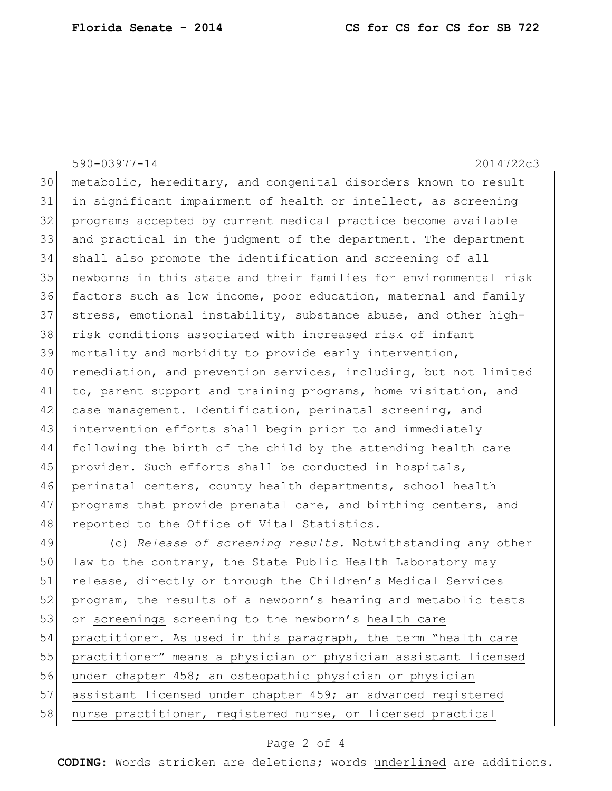590-03977-14 2014722c3 metabolic, hereditary, and congenital disorders known to result in significant impairment of health or intellect, as screening programs accepted by current medical practice become available and practical in the judgment of the department. The department shall also promote the identification and screening of all newborns in this state and their families for environmental risk factors such as low income, poor education, maternal and family stress, emotional instability, substance abuse, and other high- risk conditions associated with increased risk of infant mortality and morbidity to provide early intervention, 40 remediation, and prevention services, including, but not limited 41 to, parent support and training programs, home visitation, and 42 case management. Identification, perinatal screening, and intervention efforts shall begin prior to and immediately following the birth of the child by the attending health care 45 provider. Such efforts shall be conducted in hospitals, perinatal centers, county health departments, school health 47 programs that provide prenatal care, and birthing centers, and 48 reported to the Office of Vital Statistics. (c) *Release of screening results.*—Notwithstanding any other 50 law to the contrary, the State Public Health Laboratory may release, directly or through the Children's Medical Services 52 program, the results of a newborn's hearing and metabolic tests

53 or screenings sereening to the newborn's health care 54 practitioner. As used in this paragraph, the term "health care

55 practitioner" means a physician or physician assistant licensed

56 under chapter 458; an osteopathic physician or physician

57 assistant licensed under chapter 459; an advanced registered

58 nurse practitioner, registered nurse, or licensed practical

## Page 2 of 4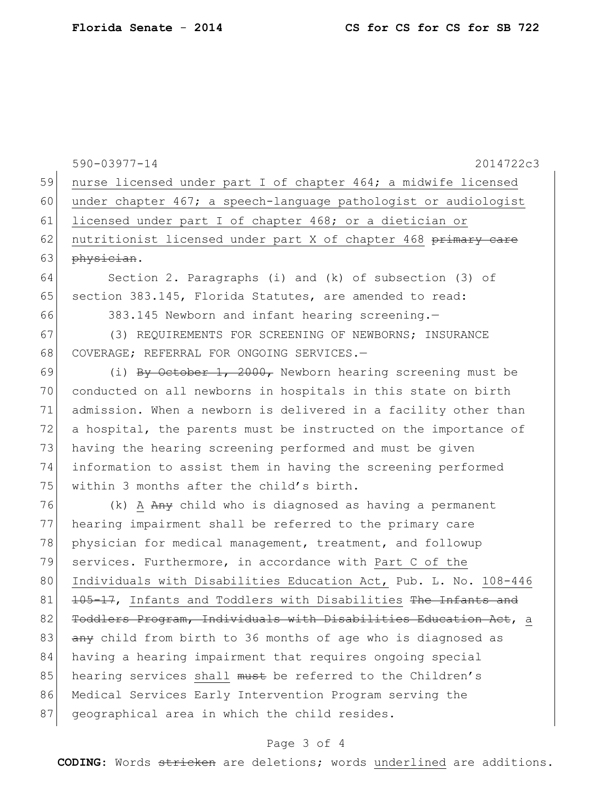|    | 590-03977-14<br>2014722c3                                        |
|----|------------------------------------------------------------------|
| 59 | nurse licensed under part I of chapter 464; a midwife licensed   |
| 60 | under chapter 467; a speech-language pathologist or audiologist  |
| 61 | licensed under part I of chapter 468; or a dietician or          |
| 62 | nutritionist licensed under part X of chapter 468 primary care   |
| 63 | physician.                                                       |
| 64 | Section 2. Paragraphs (i) and (k) of subsection (3) of           |
| 65 | section 383.145, Florida Statutes, are amended to read:          |
| 66 | 383.145 Newborn and infant hearing screening.-                   |
| 67 | (3) REQUIREMENTS FOR SCREENING OF NEWBORNS; INSURANCE            |
| 68 | COVERAGE; REFERRAL FOR ONGOING SERVICES.-                        |
| 69 | (i) By October 1, 2000, Newborn hearing screening must be        |
| 70 | conducted on all newborns in hospitals in this state on birth    |
| 71 | admission. When a newborn is delivered in a facility other than  |
| 72 | a hospital, the parents must be instructed on the importance of  |
| 73 | having the hearing screening performed and must be given         |
| 74 | information to assist them in having the screening performed     |
| 75 | within 3 months after the child's birth.                         |
| 76 | (k) A Any child who is diagnosed as having a permanent           |
| 77 | hearing impairment shall be referred to the primary care         |
| 78 | physician for medical management, treatment, and followup        |
| 79 | services. Furthermore, in accordance with Part C of the          |
| 80 | Individuals with Disabilities Education Act, Pub. L. No. 108-446 |
| 81 | 105-17, Infants and Toddlers with Disabilities The Infants and   |
| 82 | Toddlers Program, Individuals with Disabilities Education Act, a |
| 83 | any child from birth to 36 months of age who is diagnosed as     |
| 84 | having a hearing impairment that requires ongoing special        |
| 85 | hearing services shall must be referred to the Children's        |
| 86 | Medical Services Early Intervention Program serving the          |
| 87 | geographical area in which the child resides.                    |

## Page 3 of 4